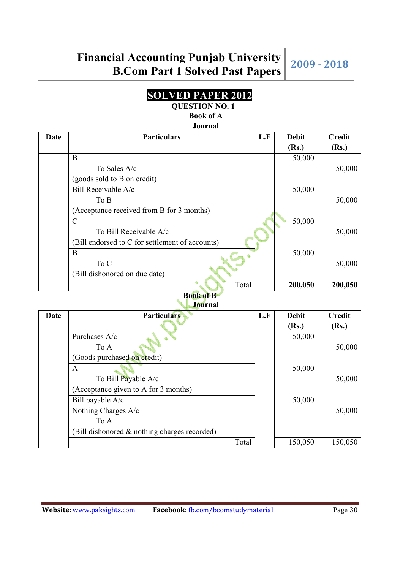#### **SOLVED PAPER 2012 QUESTION NO. 1**

### **Book of A**

#### **Journal**

|      | vvuı nuı                                        |     |              |               |
|------|-------------------------------------------------|-----|--------------|---------------|
| Date | <b>Particulars</b>                              | L.F | <b>Debit</b> | <b>Credit</b> |
|      |                                                 |     | (Rs.)        | (Rs.)         |
|      | B                                               |     | 50,000       |               |
|      | To Sales $A/c$                                  |     |              | 50,000        |
|      | (goods sold to B on credit)                     |     |              |               |
|      | Bill Receivable A/c                             |     | 50,000       |               |
|      | To B                                            |     |              | 50,000        |
|      | (Acceptance received from B for 3 months)       |     |              |               |
|      | $\mathsf{C}$                                    |     | 50,000       |               |
|      | To Bill Receivable A/c                          |     |              | 50,000        |
|      | (Bill endorsed to C for settlement of accounts) |     |              |               |
|      | B                                               |     | 50,000       |               |
|      | To C                                            |     |              | 50,000        |
|      | (Bill dishonored on due date)                   |     |              |               |
|      | Total                                           |     | 200,050      | 200,050       |

#### **Book of B Journal**

| ovul lidi |                                              |       |     |              |               |
|-----------|----------------------------------------------|-------|-----|--------------|---------------|
| Date      | <b>Particulars</b>                           |       | L.F | <b>Debit</b> | <b>Credit</b> |
|           |                                              |       |     | (Rs.)        | (Rs.)         |
|           | Purchases A/c                                |       |     | 50,000       |               |
|           | To A                                         |       |     |              | 50,000        |
|           | (Goods purchased on credit)                  |       |     |              |               |
|           | A                                            |       |     | 50,000       |               |
|           | To Bill Payable A/c                          |       |     |              | 50,000        |
|           | (Acceptance given to A for 3 months)         |       |     |              |               |
|           | Bill payable A/c                             |       |     | 50,000       |               |
|           | Nothing Charges A/c                          |       |     |              | 50,000        |
|           | To A                                         |       |     |              |               |
|           | (Bill dishonored & nothing charges recorded) |       |     |              |               |
|           |                                              | Total |     | 150,050      | 150,050       |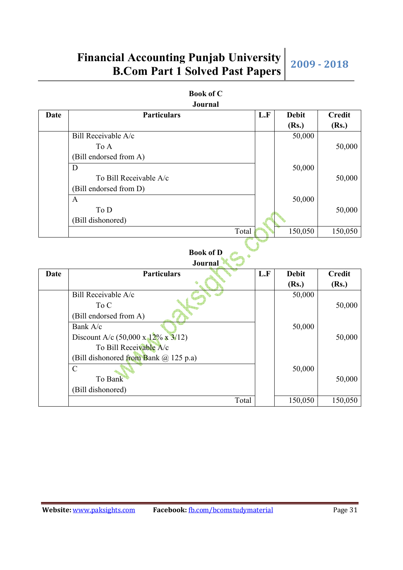| <b>Book of C</b> |  |
|------------------|--|
| Journal          |  |

| Date | <b>Particulars</b>     | L.F | <b>Debit</b> | <b>Credit</b> |
|------|------------------------|-----|--------------|---------------|
|      |                        |     | (Rs.)        | (Rs.)         |
|      | Bill Receivable A/c    |     | 50,000       |               |
|      | To A                   |     |              | 50,000        |
|      | (Bill endorsed from A) |     |              |               |
|      | D                      |     | 50,000       |               |
|      | To Bill Receivable A/c |     |              | 50,000        |
|      | (Bill endorsed from D) |     |              |               |
|      | $\mathbf{A}$           |     | 50,000       |               |
|      | To D                   |     |              | 50,000        |
|      | (Bill dishonored)      |     |              |               |
|      | Total                  |     | 150,050      | 150,050       |
|      |                        |     |              |               |

#### **Book of D**

|      | <b>Journal</b>                                  |     |              |               |
|------|-------------------------------------------------|-----|--------------|---------------|
| Date | <b>Particulars</b>                              | L.F | <b>Debit</b> | <b>Credit</b> |
|      |                                                 |     | (Rs.)        | (Rs.)         |
|      | Bill Receivable A/c                             |     | 50,000       |               |
|      | To C                                            |     |              | 50,000        |
|      | (Bill endorsed from A)                          |     |              |               |
|      | Bank A/c                                        |     | 50,000       |               |
|      | Discount A/c $(50,000 \times 12\% \times 3/12)$ |     |              | 50,000        |
|      | To Bill Receivable A/c                          |     |              |               |
|      | (Bill dishonored from Bank $(a)$ 125 p.a)       |     |              |               |
|      | $\mathcal{C}$                                   |     | 50,000       |               |
|      | To Bank                                         |     |              | 50,000        |
|      | (Bill dishonored)                               |     |              |               |
|      | Total                                           |     | 150,050      | 150,050       |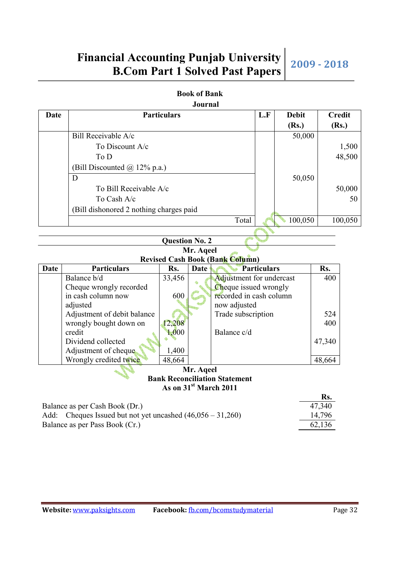|  | <b>Book of Bank</b> |
|--|---------------------|
|  | Journal             |

| <b>Date</b> |                                                | <b>Particulars</b>    |           |                                        | L.F         | <b>Debit</b> |            | <b>Credit</b> |
|-------------|------------------------------------------------|-----------------------|-----------|----------------------------------------|-------------|--------------|------------|---------------|
|             |                                                |                       |           |                                        |             | (Rs.)        |            | (Rs.)         |
|             | Bill Receivable A/c                            |                       |           |                                        |             | 50,000       |            |               |
|             | To Discount A/c                                |                       |           |                                        |             |              |            | 1,500         |
|             | To D                                           |                       |           |                                        |             |              |            | 48,500        |
|             | (Bill Discounted @ 12% p.a.)                   |                       |           |                                        |             |              |            |               |
|             | D                                              |                       |           |                                        |             | 50,050       |            |               |
|             | To Bill Receivable A/c                         |                       |           |                                        |             |              |            | 50,000        |
|             | To Cash A/c                                    |                       |           |                                        |             |              |            | 50            |
|             | (Bill dishonored 2 nothing charges paid        |                       |           |                                        |             |              |            |               |
|             |                                                |                       |           | Total                                  |             | 100,050      |            | 100,050       |
|             |                                                |                       |           |                                        |             |              |            |               |
|             |                                                | <b>Question No. 2</b> |           |                                        |             |              |            |               |
|             |                                                |                       | Mr. Aqeel |                                        |             |              |            |               |
|             |                                                |                       |           | <b>Revised Cash Book (Bank Column)</b> |             |              |            |               |
| <b>Date</b> | <b>Particulars</b><br>Balance b/d              | Rs.<br>33,456         | Date      | Adjustment for undercast               | Particulars |              | Rs.<br>400 |               |
|             | Cheque wrongly recorded                        |                       |           | Cheque issued wrongly                  |             |              |            |               |
|             | in cash column now                             | 600                   |           | recorded in cash column                |             |              |            |               |
|             | adjusted                                       |                       |           | now adjusted                           |             |              |            |               |
|             | Adjustment of debit balance                    |                       |           | Trade subscription                     |             |              | 524        |               |
|             | wrongly bought down on                         | 12,208                |           |                                        |             |              | 400        |               |
|             | credit                                         | 1,000                 |           | Balance c/d                            |             |              |            |               |
|             | Dividend collected                             |                       |           |                                        |             |              | 47,340     |               |
|             | Adjustment of cheque<br>Wrongly credited twice | 1,400<br>48,664       |           |                                        |             |              |            |               |
|             |                                                |                       | Mr. Aqeel |                                        |             |              | 48,664     |               |
|             |                                                |                       |           | <b>Bank Reconciliation Statement</b>   |             |              |            |               |
|             |                                                |                       |           | As on 31 <sup>st</sup> March 2011      |             |              |            |               |
|             |                                                |                       |           |                                        |             |              | Rs.        |               |
|             | $B$ alance as ner Cash $B$ ook $(Dr)$          |                       |           |                                        |             |              | 17.310     |               |

| Balance as per Cash Book (Dr.)                               | 47,340 |
|--------------------------------------------------------------|--------|
| Add: Cheques Issued but not yet uncashed $(46,056 - 31,260)$ | 14,796 |
| Balance as per Pass Book (Cr.)                               | 62,136 |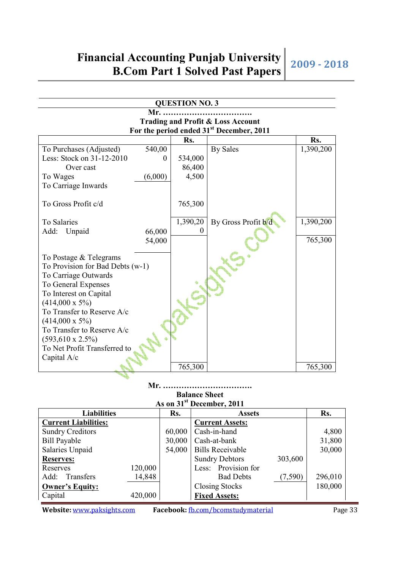| <b>QUESTION NO. 3</b>                        |          |                                                      |           |  |  |  |  |
|----------------------------------------------|----------|------------------------------------------------------|-----------|--|--|--|--|
| Mr.                                          |          |                                                      |           |  |  |  |  |
| <b>Trading and Profit &amp; Loss Account</b> |          |                                                      |           |  |  |  |  |
|                                              |          | For the period ended 31 <sup>st</sup> December, 2011 |           |  |  |  |  |
|                                              | Rs.      |                                                      | Rs.       |  |  |  |  |
| 540,00<br>To Purchases (Adjusted)            |          | <b>By Sales</b>                                      | 1,390,200 |  |  |  |  |
| Less: Stock on 31-12-2010<br>$\theta$        | 534,000  |                                                      |           |  |  |  |  |
| Over cast                                    | 86,400   |                                                      |           |  |  |  |  |
| (6,000)<br>To Wages                          | 4,500    |                                                      |           |  |  |  |  |
| To Carriage Inwards                          |          |                                                      |           |  |  |  |  |
|                                              |          |                                                      |           |  |  |  |  |
| To Gross Profit c/d                          | 765,300  |                                                      |           |  |  |  |  |
|                                              |          |                                                      |           |  |  |  |  |
| To Salaries                                  | 1,390,20 | By Gross Profit b/d                                  | 1,390,200 |  |  |  |  |
| Add:<br>Unpaid<br>66,000                     |          |                                                      |           |  |  |  |  |
| 54,000                                       |          |                                                      | 765,300   |  |  |  |  |
| To Postage & Telegrams                       |          |                                                      |           |  |  |  |  |
| To Provision for Bad Debts (w-1)             |          |                                                      |           |  |  |  |  |
| To Carriage Outwards                         |          |                                                      |           |  |  |  |  |
| To General Expenses                          |          |                                                      |           |  |  |  |  |
| To Interest on Capital                       |          |                                                      |           |  |  |  |  |
| $(414,000 \times 5\%)$                       |          |                                                      |           |  |  |  |  |
| To Transfer to Reserve A/c                   |          |                                                      |           |  |  |  |  |
| $(414,000 \times 5\%)$                       |          |                                                      |           |  |  |  |  |
| To Transfer to Reserve A/c                   |          |                                                      |           |  |  |  |  |
| $(593, 610 \times 2.5\%)$                    |          |                                                      |           |  |  |  |  |
| To Net Profit Transferred to                 |          |                                                      |           |  |  |  |  |
| Capital A/c                                  |          |                                                      |           |  |  |  |  |
|                                              | 765,300  |                                                      | 765,300   |  |  |  |  |

### **Mr. ……………………………. Balance Sheet**

| As on 31 <sup>st</sup> December, 2011 |         |        |                         |          |         |
|---------------------------------------|---------|--------|-------------------------|----------|---------|
| <b>Liabilities</b>                    |         | Rs.    | <b>Assets</b>           |          | Rs.     |
| <b>Current Liabilities:</b>           |         |        | <b>Current Assets:</b>  |          |         |
| <b>Sundry Creditors</b>               |         | 60,000 | Cash-in-hand            |          | 4,800   |
| <b>Bill Payable</b>                   |         | 30,000 | Cash-at-bank            |          | 31,800  |
| Salaries Unpaid                       |         | 54,000 | <b>Bills Receivable</b> |          | 30,000  |
| <b>Reserves:</b>                      |         |        | <b>Sundry Debtors</b>   | 303,600  |         |
| Reserves                              | 120,000 |        | Less: Provision for     |          |         |
| Add:<br>Transfers                     | 14,848  |        | <b>Bad Debts</b>        | (7, 590) | 296,010 |
| <b>Owner's Equity:</b>                |         |        | <b>Closing Stocks</b>   |          | 180,000 |
| Capital                               | 420,000 |        | <b>Fixed Assets:</b>    |          |         |

٨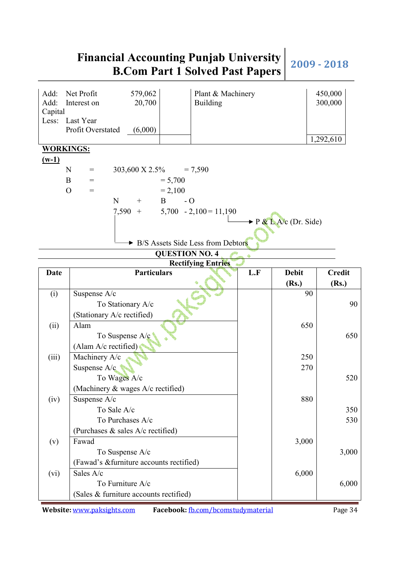| Add:<br>Add:<br>Capital | Net Profit<br>579,062<br>20,700<br>Interest on    | Plant & Machinery<br><b>Building</b> |                                    | 450,000<br>300,000 |
|-------------------------|---------------------------------------------------|--------------------------------------|------------------------------------|--------------------|
| Less:                   | Last Year<br>Profit Overstated<br>(6,000)         |                                      |                                    | 1,292,610          |
| <b>WORKINGS:</b>        |                                                   |                                      |                                    |                    |
| $(w-1)$                 |                                                   |                                      |                                    |                    |
|                         | N<br>303,600 X 2.5%<br>$=$                        | $= 7,590$                            |                                    |                    |
|                         | $= 5,700$<br>B<br>$=$                             |                                      |                                    |                    |
|                         | $= 2,100$<br>$\mathcal{O}$<br>$=$                 |                                      |                                    |                    |
|                         | ${\bf N}$<br>$-$ O<br>B<br>$+$                    |                                      |                                    |                    |
|                         | 7,590<br>$+$                                      | $5,700 - 2,100 = 11,190$             |                                    |                    |
|                         |                                                   |                                      | $\rightarrow$ P & L A/c (Dr. Side) |                    |
|                         | B/S Assets Side Less from Debtors                 |                                      |                                    |                    |
|                         | <b>QUESTION NO. 4</b>                             |                                      |                                    |                    |
|                         |                                                   | <b>Rectifying Entries</b>            |                                    |                    |
| <b>Date</b>             | <b>Particulars</b>                                | L.F                                  | <b>Debit</b>                       | <b>Credit</b>      |
|                         |                                                   |                                      | (Rs.)                              | (Rs.)              |
| (i)                     | Suspense A/c                                      |                                      | 90                                 |                    |
|                         | To Stationary A/c                                 |                                      |                                    | 90                 |
|                         | (Stationary A/c rectified)                        |                                      |                                    |                    |
| (ii)                    | Alam                                              |                                      | 650                                |                    |
|                         | To Suspense A/c                                   |                                      |                                    | 650                |
|                         | (Alam A/c rectified)                              |                                      |                                    |                    |
| (iii)                   | Machinery A/c                                     |                                      | 250                                |                    |
|                         | Suspense A/c                                      |                                      | 270                                |                    |
|                         | To Wages A/c<br>(Machinery & wages A/c rectified) |                                      |                                    | 520                |
| (iv)                    | Suspense A/c                                      |                                      | 880                                |                    |
|                         | To Sale A/c                                       |                                      |                                    | 350                |
|                         | To Purchases A/c                                  |                                      |                                    | 530                |
|                         | (Purchases & sales A/c rectified)                 |                                      |                                    |                    |
| (v)                     | Fawad                                             |                                      | 3,000                              |                    |
|                         | To Suspense A/c                                   |                                      |                                    | 3,000              |
|                         | (Fawad's &furniture accounts rectified)           |                                      |                                    |                    |
| (vi)                    | Sales A/c                                         |                                      | 6,000                              |                    |
|                         | To Furniture A/c                                  |                                      |                                    | 6,000              |
|                         | (Sales & furniture accounts rectified)            |                                      |                                    |                    |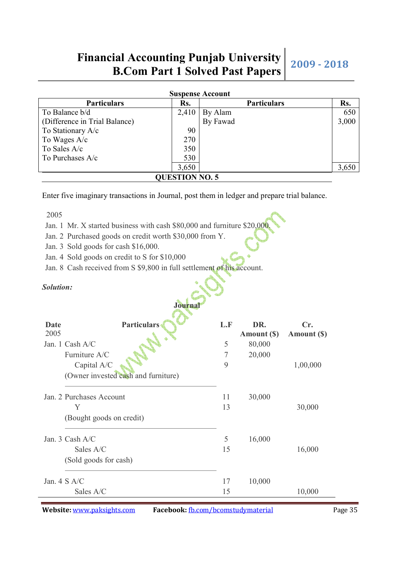| <b>Suspense Account</b>       |                       |                    |       |  |  |
|-------------------------------|-----------------------|--------------------|-------|--|--|
| <b>Particulars</b>            | Rs.                   | <b>Particulars</b> | Rs.   |  |  |
| To Balance b/d                | 2,410                 | By Alam            | 650   |  |  |
| (Difference in Trial Balance) |                       | By Fawad           | 3,000 |  |  |
| To Stationary A/c             | 90                    |                    |       |  |  |
| To Wages A/c                  | 270                   |                    |       |  |  |
| To Sales A/c                  | 350                   |                    |       |  |  |
| To Purchases A/c              | 530                   |                    |       |  |  |
|                               | 3,650                 |                    | 3,650 |  |  |
|                               | <b>QUESTION NO. 5</b> |                    |       |  |  |

Enter five imaginary transactions in Journal, post them in ledger and prepare trial balance.

2005

- Jan. 1 Mr. X started business with cash \$80,000 and furniture \$20,000.
- Jan. 2 Purchased goods on credit worth \$30,000 from Y.
- Jan. 3 Sold goods for cash \$16,000.
- Jan. 4 Sold goods on credit to S for \$10,000
- Jan. 8 Cash received from S \$9,800 in full settlement of his account.

#### *Solution:*

|              | <b>Journal</b>                      |     |                    |                    |
|--------------|-------------------------------------|-----|--------------------|--------------------|
| Date<br>2005 | <b>Particulars</b>                  | L.F | DR.<br>Amount (\$) | Cr.<br>Amount (\$) |
|              | Jan. 1 Cash A/C                     | 5   | 80,000             |                    |
|              | Furniture A/C                       | 7   | 20,000             |                    |
|              | Capital A/C                         | 9   |                    | 1,00,000           |
|              | (Owner invested cash and furniture) |     |                    |                    |
|              | Jan. 2 Purchases Account            | 11  | 30,000             |                    |
|              | Y                                   | 13  |                    | 30,000             |
|              | (Bought goods on credit)            |     |                    |                    |
|              | Jan. 3 Cash A/C                     | 5   | 16,000             |                    |
|              | Sales A/C                           | 15  |                    | 16,000             |
|              | (Sold goods for cash)               |     |                    |                    |
|              | Jan. $4 S A/C$                      | 17  | 10,000             |                    |
|              | Sales A/C                           | 15  |                    | 10,000             |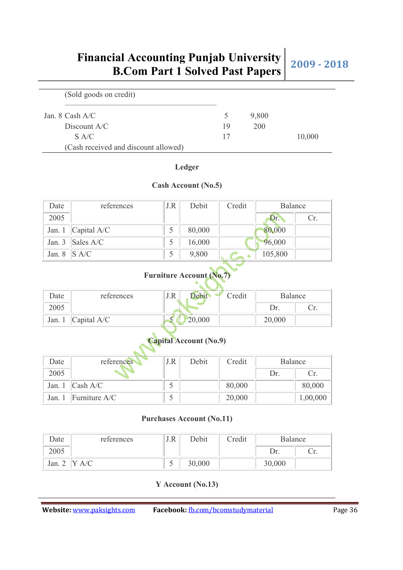| (Sold goods on credit)               |    |       |        |
|--------------------------------------|----|-------|--------|
| Jan. $8$ Cash A/C                    |    | 9,800 |        |
| Discount $A/C$                       | 19 | 200   |        |
| S A/C                                | 17 |       | 10,000 |
| (Cash received and discount allowed) |    |       |        |

**Ledger**

**Cash Account (No.5)**

| Date     | references                            | J.R | Debit  | Credit | Balance |     |
|----------|---------------------------------------|-----|--------|--------|---------|-----|
| 2005     |                                       |     |        |        | Dr.     | Cr. |
| Jan. $1$ | $ $ Capital A/C                       |     | 80,000 |        | 80,000  |     |
|          | Jan. $3$ Sales A/C                    |     | 16,000 |        | 96,000  |     |
| Jan. 8   | $\overline{\mathbf{S} \mathbf{A}}$ /C |     | 9,800  |        | 105,800 |     |

### **Furniture Account (No.7)**

| Date   | references           | J.R<br><b>Debit</b> | Credit | Balance |     |
|--------|----------------------|---------------------|--------|---------|-----|
| 2005   |                      |                     |        | Dr.     | Ur. |
| Jan. 1 | $\alpha$ Capital A/C | 20,000              |        | 20,000  |     |

## **Capital Account (No.9)**

| Date   | references       | J.R | Debit | Credit | <b>Balance</b> |          |
|--------|------------------|-----|-------|--------|----------------|----------|
| 2005   |                  |     |       |        | Dr.            | Cr.      |
| Jan. 1 | $\vert$ Cash A/C |     |       | 80,000 |                | 80,000   |
| Jan.   | Furniture $A/C$  |     |       | 20,000 |                | 1,00,000 |

#### **Purchases Account (No.11)**

| Date | references | J.R | Debit  | Credit | <b>Balance</b> |     |
|------|------------|-----|--------|--------|----------------|-----|
| 2005 |            |     |        |        | Dr.            | U٠. |
| Jan. |            | ັ   | 30,000 |        | 30,000         |     |

#### **Y Account (No.13)**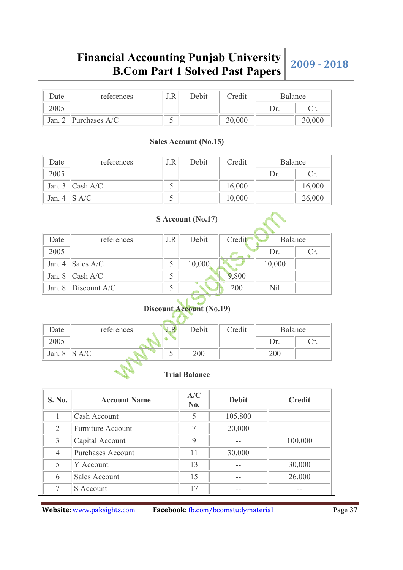| Date   | references    | J.R | Debit | Credit | Balance |        |
|--------|---------------|-----|-------|--------|---------|--------|
| 2005   |               |     |       |        | Dr.     | Ur.    |
| Jan. 2 | Purchases A/C |     |       | 30,000 |         | 30,000 |

#### **Sales Account (No.15)**

| Date              | references         | J.R | Debit | Credit | Balance |        |
|-------------------|--------------------|-----|-------|--------|---------|--------|
| 2005              |                    |     |       |        | Dr.     | Cr.    |
|                   | Jan. 3 $ Cash A/C$ |     |       | 16,000 |         | 16,000 |
| Jan. 4 $\ $ S A/C |                    |     |       | 10,000 |         | 26,000 |

|          |                |     | S Account (No.17) |        |            |     |
|----------|----------------|-----|-------------------|--------|------------|-----|
| Date     | references     | J.R | Debit             | Credit | Balance    |     |
| 2005     |                |     |                   |        | Dr.        | Cr. |
| Jan. $4$ | Sales $A/C$    |     | 10,000            |        | 10,000     |     |
| Jan. 8   | Cash A/C       |     |                   | 9,800  |            |     |
| Jan. $8$ | Discount $A/C$ |     |                   | 200    | <b>Nil</b> |     |

## **Discount Account (No.19)**

| Date   | references | J.R | Debit | Credit | Balance |     |
|--------|------------|-----|-------|--------|---------|-----|
| 2005   |            |     |       |        | Dr.     | Ur. |
| Jan. 8 |            | ັ   | 200   |        | 200     |     |

#### **Trial Balance**

| S. No. | <b>Account Name</b>      | A/C<br>No. | <b>Debit</b> | <b>Credit</b> |
|--------|--------------------------|------------|--------------|---------------|
|        | Cash Account             | 5          | 105,800      |               |
| 2      | <b>Furniture Account</b> |            | 20,000       |               |
| 3      | Capital Account          | 9          |              | 100,000       |
| 4      | Purchases Account        | 11         | 30,000       |               |
| 5      | Y Account                | 13         |              | 30,000        |
| 6      | Sales Account            | 15         |              | 26,000        |
| ⇁      | $S$ Account              | 17         |              |               |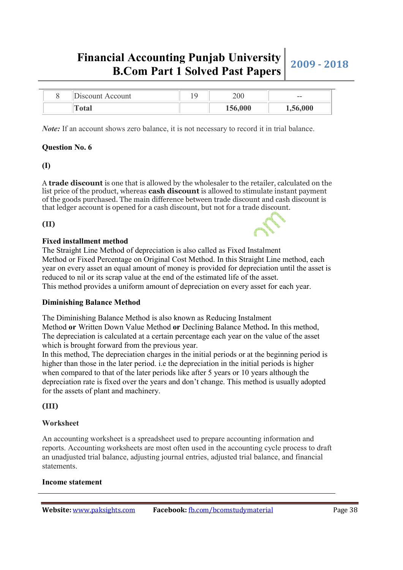|  | 'Uiscount Account | 200     | $- -$    |
|--|-------------------|---------|----------|
|  | l`otal            | 156,000 | 1,56,000 |

*Note:* If an account shows zero balance, it is not necessary to record it in trial balance.

#### **Question No. 6**

**(I)** 

A **trade discount** is one that is allowed by the wholesaler to the retailer, calculated on the list price of the product, whereas **cash discount** is allowed to stimulate instant payment of the goods purchased. The main difference between trade discount and cash discount is that ledger account is opened for a cash discount, but not for a trade discount.

#### **(II)**

#### **Fixed installment method**

The Straight Line Method of depreciation is also called as Fixed Instalment Method or Fixed Percentage on Original Cost Method. In this Straight Line method, each year on every asset an equal amount of money is provided for depreciation until the asset is reduced to nil or its scrap value at the end of the estimated life of the asset. This method provides a uniform amount of depreciation on every asset for each year.

#### **Diminishing Balance Method**

The Diminishing Balance Method is also known as Reducing Instalment Method **or** Written Down Value Method **or** Declining Balance Method**.** In this method, The depreciation is calculated at a certain percentage each year on the value of the asset which is brought forward from the previous year.

In this method, The depreciation charges in the initial periods or at the beginning period is higher than those in the later period. i.e the depreciation in the initial periods is higher when compared to that of the later periods like after 5 years or 10 years although the depreciation rate is fixed over the years and don't change. This method is usually adopted for the assets of plant and machinery.

**(III)** 

#### **Worksheet**

An accounting worksheet is a spreadsheet used to prepare accounting information and reports. Accounting worksheets are most often used in the accounting cycle process to draft an unadjusted trial balance, adjusting journal entries, adjusted trial balance, and financial statements.

#### **Income statement**

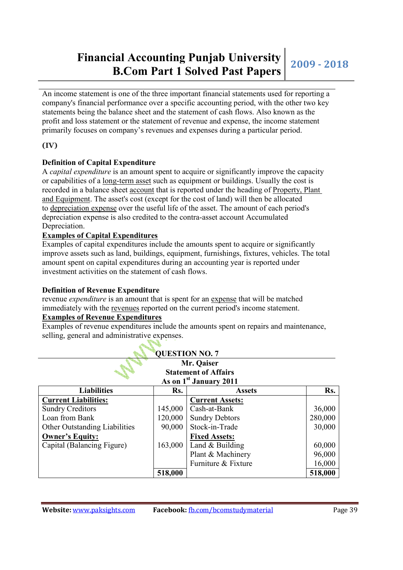## **Financial Accounting Punjab University Example 1 Solved Past Papers 2009 - 2018**<br>**B.Com Part 1 Solved Past Papers** 2009 - 2018

An income statement is one of the three important financial statements used for reporting a company's financial performance over a specific accounting period, with the other two key statements being the balance sheet and the statement of cash flows. Also known as the profit and loss statement or the statement of revenue and expense, the income statement primarily focuses on company's revenues and expenses during a particular period.

#### **(IV)**

#### **Definition of Capital Expenditure**

A *capital expenditure* is an amount spent to acquire or significantly improve the capacity or capabilities of a long-term asset such as equipment or buildings. Usually the cost is recorded in a balance sheet account that is reported under the heading of Property, Plant and Equipment. The asset's cost (except for the cost of land) will then be allocated to depreciation expense over the useful life of the asset. The amount of each period's depreciation expense is also credited to the contra-asset account Accumulated Depreciation.

#### **Examples of Capital Expenditures**

Examples of capital expenditures include the amounts spent to acquire or significantly improve assets such as land, buildings, equipment, furnishings, fixtures, vehicles. The total amount spent on capital expenditures during an accounting year is reported under investment activities on the statement of cash flows.

#### **Definition of Revenue Expenditure**

revenue *expenditure* is an amount that is spent for an expense that will be matched immediately with the revenues reported on the current period's income statement.

**Collar** 

#### **Examples of Revenue Expenditures**

Examples of revenue expenditures include the amounts spent on repairs and maintenance, selling, general and administrative expenses.

| <b>QUESTION NO. 7</b>              |         |                        |         |  |  |
|------------------------------------|---------|------------------------|---------|--|--|
| Mr. Qaiser                         |         |                        |         |  |  |
| <b>Statement of Affairs</b>        |         |                        |         |  |  |
| As on 1 <sup>st</sup> January 2011 |         |                        |         |  |  |
| <b>Liabilities</b>                 | Rs.     | <b>Assets</b>          | Rs.     |  |  |
| <b>Current Liabilities:</b>        |         | <b>Current Assets:</b> |         |  |  |
| <b>Sundry Creditors</b>            | 145,000 | Cash-at-Bank           | 36,000  |  |  |
| Loan from Bank                     | 120,000 | <b>Sundry Debtors</b>  | 280,000 |  |  |
| Other Outstanding Liabilities      | 90,000  | Stock-in-Trade         | 30,000  |  |  |
| <b>Owner's Equity:</b>             |         | <b>Fixed Assets:</b>   |         |  |  |
| Capital (Balancing Figure)         | 163,000 | Land & Building        | 60,000  |  |  |
|                                    |         | Plant & Machinery      | 96,000  |  |  |
|                                    |         | Furniture & Fixture    | 16,000  |  |  |
|                                    | 518,000 |                        | 518,000 |  |  |